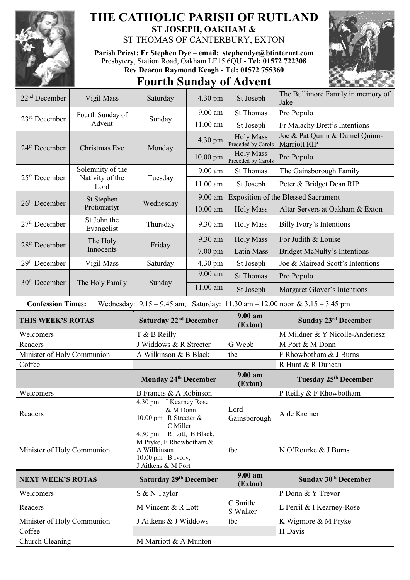

## **THE CATHOLIC PARISH OF RUTLAND ST JOSEPH, OAKHAM &**

ST THOMAS OF CANTERBURY, EXTON

**Parish Priest: Fr Stephen Dye** – **[email: stephendye@btinternet.com](mailto:email:%20%20stephendye@btinternet.com)** Presbytery, Station Road, Oakham LE15 6QU - **Tel: 01572 722308 Rev Deacon Raymond Keogh - Tel: 01572 755360**

## **Fourth Sunday of Advent**



| 22 <sup>nd</sup> December  | Vigil Mass                                  | Saturday                                                                                                                    | 4.30 pm    | St Joseph                              | The Bullimore Family in memory of<br>Jake                                           |
|----------------------------|---------------------------------------------|-----------------------------------------------------------------------------------------------------------------------------|------------|----------------------------------------|-------------------------------------------------------------------------------------|
| $23rd$ December            | Fourth Sunday of<br>Advent                  | Sunday                                                                                                                      | 9.00 am    | <b>St Thomas</b>                       | Pro Populo                                                                          |
|                            |                                             |                                                                                                                             | 11.00 am   | St Joseph                              | Fr Malachy Brett's Intentions                                                       |
| 24 <sup>th</sup> December  | Christmas Eve                               | Monday                                                                                                                      | 4.30 pm    | <b>Holy Mass</b><br>Preceded by Carols | Joe & Pat Quinn & Daniel Quinn-<br><b>Marriott RIP</b>                              |
|                            |                                             |                                                                                                                             | $10.00$ pm | <b>Holy Mass</b><br>Preceded by Carols | Pro Populo                                                                          |
| $25th$ December            | Solemnity of the<br>Nativity of the<br>Lord | Tuesday                                                                                                                     | $9.00$ am  | <b>St Thomas</b>                       | The Gainsborough Family                                                             |
|                            |                                             |                                                                                                                             | 11.00 am   | St Joseph                              | Peter & Bridget Dean RIP                                                            |
| $26th$ December            | St Stephen<br>Protomartyr                   | Wednesday                                                                                                                   | 9.00 am    |                                        | <b>Exposition of the Blessed Sacrament</b>                                          |
|                            |                                             |                                                                                                                             | $10.00$ am | <b>Holy Mass</b>                       | Altar Servers at Oakham & Exton                                                     |
| $27th$ December            | St John the<br>Evangelist                   | Thursday                                                                                                                    | 9.30 am    | <b>Holy Mass</b>                       | Billy Ivory's Intentions                                                            |
| 28 <sup>th</sup> December  | The Holy<br>Innocents                       | Friday                                                                                                                      | 9.30 am    | <b>Holy Mass</b>                       | For Judith & Louise                                                                 |
|                            |                                             |                                                                                                                             | 7.00 pm    | <b>Latin Mass</b>                      | <b>Bridget McNulty's Intentions</b>                                                 |
| 29 <sup>th</sup> December  | Vigil Mass                                  | Saturday                                                                                                                    | 4.30 pm    | St Joseph                              | Joe & Mairead Scott's Intentions                                                    |
| $30th$ December            | The Holy Family                             | Sunday                                                                                                                      | $9.00$ am  | <b>St Thomas</b>                       | Pro Populo                                                                          |
|                            |                                             |                                                                                                                             | 11.00 am   | St Joseph                              | Margaret Glover's Intentions                                                        |
| <b>Confession Times:</b>   |                                             |                                                                                                                             |            |                                        | Wednesday: $9.15 - 9.45$ am; Saturday: $11.30$ am $- 12.00$ noon & $3.15 - 3.45$ pm |
| THIS WEEK'S ROTAS          |                                             | Saturday 22 <sup>nd</sup> December                                                                                          |            | 9.00 am<br>(Exton)                     | Sunday 23 <sup>rd</sup> December                                                    |
| Welcomers                  |                                             | T & B Reilly                                                                                                                |            |                                        | M Mildner & Y Nicolle-Anderiesz                                                     |
| Readers                    |                                             | J Widdows & R Streeter                                                                                                      |            | G Webb                                 | M Port & M Donn                                                                     |
| Minister of Holy Communion |                                             | A Wilkinson & B Black                                                                                                       |            | tbc                                    | F Rhowbotham & J Burns                                                              |
| Coffee                     |                                             |                                                                                                                             |            |                                        | R Hunt & R Duncan                                                                   |
|                            |                                             | <b>Monday 24th December</b>                                                                                                 |            | $9.00 a$ m<br>(Exton)                  | Tuesday 25th December                                                               |
| Welcomers                  |                                             | B Francis & A Robinson                                                                                                      |            |                                        | P Reilly & F Rhowbotham                                                             |
| Readers                    |                                             | 4.30 pm I Kearney Rose<br>& M Donn<br>10.00 pm R Streeter &<br>C Miller                                                     |            | Lord<br>Gainsborough                   | A de Kremer                                                                         |
| Minister of Holy Communion |                                             | R Lott, B Black,<br>$4.30 \text{ pm}$<br>M Pryke, F Rhowbotham &<br>A Willkinson<br>10.00 pm B Ivory,<br>J Aitkens & M Port |            | tbc                                    | N O'Rourke & J Burns                                                                |
| <b>NEXT WEEK'S ROTAS</b>   |                                             | Saturday 29th December                                                                                                      |            | 9.00 am<br>(Exton)                     | Sunday 30 <sup>th</sup> December                                                    |
| Welcomers                  |                                             | S & N Taylor                                                                                                                |            |                                        | P Donn & Y Trevor                                                                   |
| Readers                    |                                             | M Vincent & R Lott                                                                                                          |            | C Smith/<br>S Walker                   | L Perril & I Kearney-Rose                                                           |
| Minister of Holy Communion |                                             | J Aitkens & J Widdows                                                                                                       |            | tbc                                    | K Wigmore & M Pryke                                                                 |
| Coffee                     |                                             |                                                                                                                             |            |                                        | H Davis                                                                             |
| Church Cleaning            |                                             | M Marriott & A Munton                                                                                                       |            |                                        |                                                                                     |